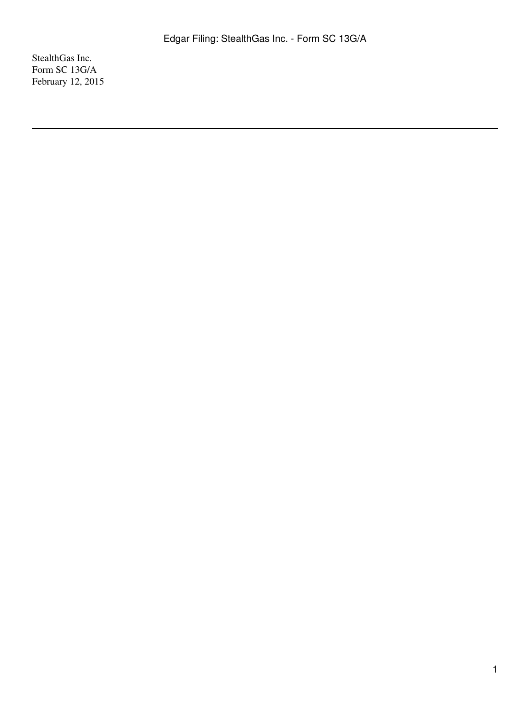StealthGas Inc. Form SC 13G/A February 12, 2015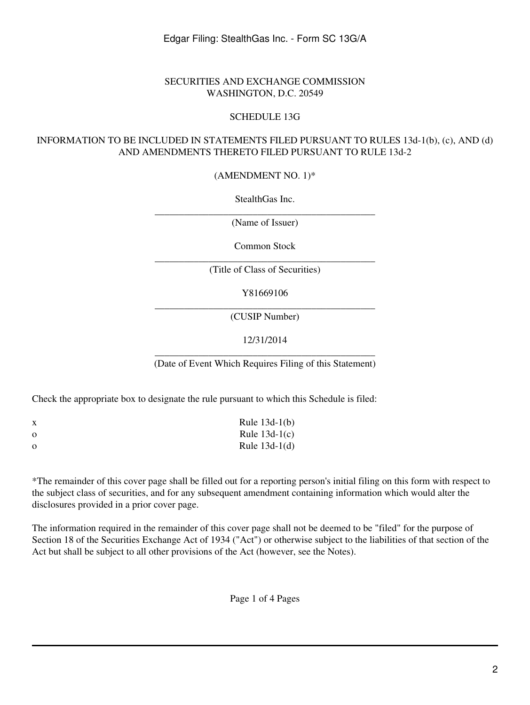## SECURITIES AND EXCHANGE COMMISSION WASHINGTON, D.C. 20549

## SCHEDULE 13G

## INFORMATION TO BE INCLUDED IN STATEMENTS FILED PURSUANT TO RULES 13d-1(b), (c), AND (d) AND AMENDMENTS THERETO FILED PURSUANT TO RULE 13d-2

(AMENDMENT NO. 1)\*

StealthGas Inc.

\_\_\_\_\_\_\_\_\_\_\_\_\_\_\_\_\_\_\_\_\_\_\_\_\_\_\_\_\_\_\_\_\_\_\_\_\_\_\_\_\_\_\_\_\_ (Name of Issuer)

Common Stock

\_\_\_\_\_\_\_\_\_\_\_\_\_\_\_\_\_\_\_\_\_\_\_\_\_\_\_\_\_\_\_\_\_\_\_\_\_\_\_\_\_\_\_\_\_ (Title of Class of Securities)

Y81669106

\_\_\_\_\_\_\_\_\_\_\_\_\_\_\_\_\_\_\_\_\_\_\_\_\_\_\_\_\_\_\_\_\_\_\_\_\_\_\_\_\_\_\_\_\_ (CUSIP Number)

12/31/2014

\_\_\_\_\_\_\_\_\_\_\_\_\_\_\_\_\_\_\_\_\_\_\_\_\_\_\_\_\_\_\_\_\_\_\_\_\_\_\_\_\_\_\_\_\_ (Date of Event Which Requires Filing of this Statement)

Check the appropriate box to designate the rule pursuant to which this Schedule is filed:

| X        | Rule $13d-1(b)$ |
|----------|-----------------|
| $\Omega$ | Rule $13d-1(c)$ |
| $\Omega$ | Rule $13d-1(d)$ |

\*The remainder of this cover page shall be filled out for a reporting person's initial filing on this form with respect to the subject class of securities, and for any subsequent amendment containing information which would alter the disclosures provided in a prior cover page.

The information required in the remainder of this cover page shall not be deemed to be "filed" for the purpose of Section 18 of the Securities Exchange Act of 1934 ("Act") or otherwise subject to the liabilities of that section of the Act but shall be subject to all other provisions of the Act (however, see the Notes).

Page 1 of 4 Pages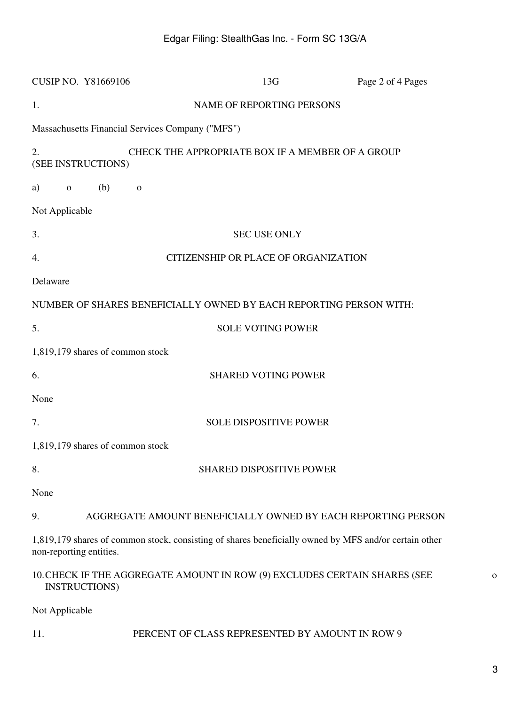| <b>CUSIP NO. Y81669106</b>                                                                                                       | 13G                                              | Page 2 of 4 Pages                                            |
|----------------------------------------------------------------------------------------------------------------------------------|--------------------------------------------------|--------------------------------------------------------------|
| 1.                                                                                                                               | NAME OF REPORTING PERSONS                        |                                                              |
| Massachusetts Financial Services Company ("MFS")                                                                                 |                                                  |                                                              |
| 2.<br>(SEE INSTRUCTIONS)                                                                                                         | CHECK THE APPROPRIATE BOX IF A MEMBER OF A GROUP |                                                              |
| (b)<br>a)<br>$\mathbf{o}$<br>$\mathbf{O}$                                                                                        |                                                  |                                                              |
| Not Applicable                                                                                                                   |                                                  |                                                              |
| 3.                                                                                                                               | <b>SEC USE ONLY</b>                              |                                                              |
| 4.                                                                                                                               | <b>CITIZENSHIP OR PLACE OF ORGANIZATION</b>      |                                                              |
| Delaware                                                                                                                         |                                                  |                                                              |
| NUMBER OF SHARES BENEFICIALLY OWNED BY EACH REPORTING PERSON WITH:                                                               |                                                  |                                                              |
| 5.                                                                                                                               | <b>SOLE VOTING POWER</b>                         |                                                              |
| 1,819,179 shares of common stock                                                                                                 |                                                  |                                                              |
| 6.                                                                                                                               | <b>SHARED VOTING POWER</b>                       |                                                              |
| None                                                                                                                             |                                                  |                                                              |
| 7.                                                                                                                               | <b>SOLE DISPOSITIVE POWER</b>                    |                                                              |
| 1,819,179 shares of common stock                                                                                                 |                                                  |                                                              |
| 8.                                                                                                                               | <b>SHARED DISPOSITIVE POWER</b>                  |                                                              |
| None                                                                                                                             |                                                  |                                                              |
| 9.                                                                                                                               |                                                  | AGGREGATE AMOUNT BENEFICIALLY OWNED BY EACH REPORTING PERSON |
| 1,819,179 shares of common stock, consisting of shares beneficially owned by MFS and/or certain other<br>non-reporting entities. |                                                  |                                                              |
| 10. CHECK IF THE AGGREGATE AMOUNT IN ROW (9) EXCLUDES CERTAIN SHARES (SEE<br><b>INSTRUCTIONS)</b>                                |                                                  |                                                              |
| Not Applicable                                                                                                                   |                                                  |                                                              |

11. PERCENT OF CLASS REPRESENTED BY AMOUNT IN ROW 9

o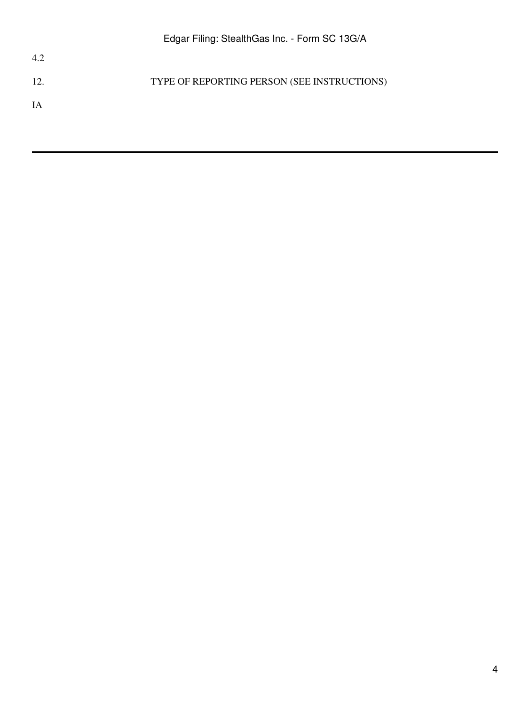12. TYPE OF REPORTING PERSON (SEE INSTRUCTIONS)

IA

4.2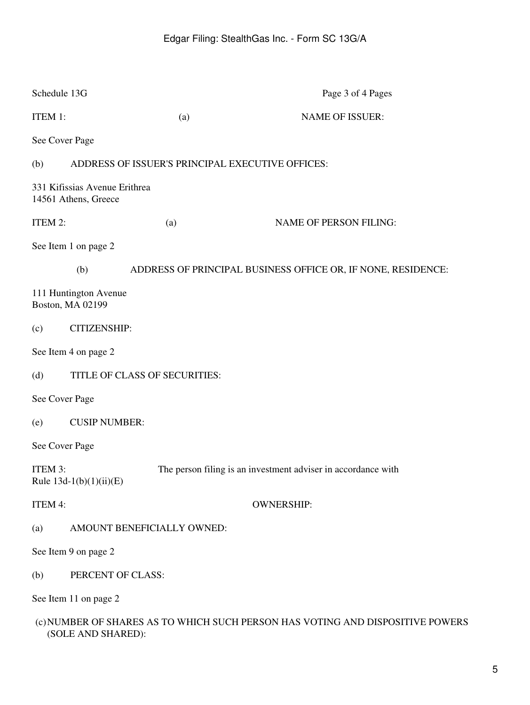| Schedule 13G   |                                                       |     | Page 3 of 4 Pages                                                              |  |  |
|----------------|-------------------------------------------------------|-----|--------------------------------------------------------------------------------|--|--|
| ITEM 1:        |                                                       | (a) | <b>NAME OF ISSUER:</b>                                                         |  |  |
| See Cover Page |                                                       |     |                                                                                |  |  |
| (b)            | ADDRESS OF ISSUER'S PRINCIPAL EXECUTIVE OFFICES:      |     |                                                                                |  |  |
|                | 331 Kifissias Avenue Erithrea<br>14561 Athens, Greece |     |                                                                                |  |  |
| ITEM 2:        |                                                       | (a) | <b>NAME OF PERSON FILING:</b>                                                  |  |  |
|                | See Item 1 on page 2                                  |     |                                                                                |  |  |
|                | (b)                                                   |     | ADDRESS OF PRINCIPAL BUSINESS OFFICE OR, IF NONE, RESIDENCE:                   |  |  |
|                | 111 Huntington Avenue<br>Boston, MA 02199             |     |                                                                                |  |  |
| (c)            | <b>CITIZENSHIP:</b>                                   |     |                                                                                |  |  |
|                | See Item 4 on page 2                                  |     |                                                                                |  |  |
| (d)            | TITLE OF CLASS OF SECURITIES:                         |     |                                                                                |  |  |
| See Cover Page |                                                       |     |                                                                                |  |  |
| (e)            | <b>CUSIP NUMBER:</b>                                  |     |                                                                                |  |  |
| See Cover Page |                                                       |     |                                                                                |  |  |
| ITEM 3:        | Rule $13d-1(b)(1)(ii)(E)$                             |     | The person filing is an investment adviser in accordance with                  |  |  |
| ITEM 4:        |                                                       |     | <b>OWNERSHIP:</b>                                                              |  |  |
| (a)            | AMOUNT BENEFICIALLY OWNED:                            |     |                                                                                |  |  |
|                | See Item 9 on page 2                                  |     |                                                                                |  |  |
| (b)            | PERCENT OF CLASS:                                     |     |                                                                                |  |  |
|                | See Item 11 on page 2                                 |     |                                                                                |  |  |
|                |                                                       |     | (c) NUMBER OF SHARES AS TO WHICH SUCH PERSON HAS VOTING AND DISPOSITIVE POWERS |  |  |

(SOLE AND SHARED):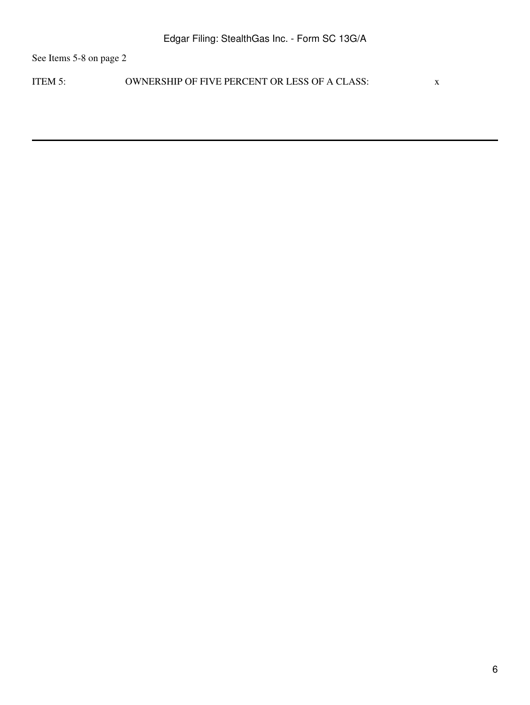See Items 5-8 on page 2

ITEM 5: OWNERSHIP OF FIVE PERCENT OR LESS OF A CLASS: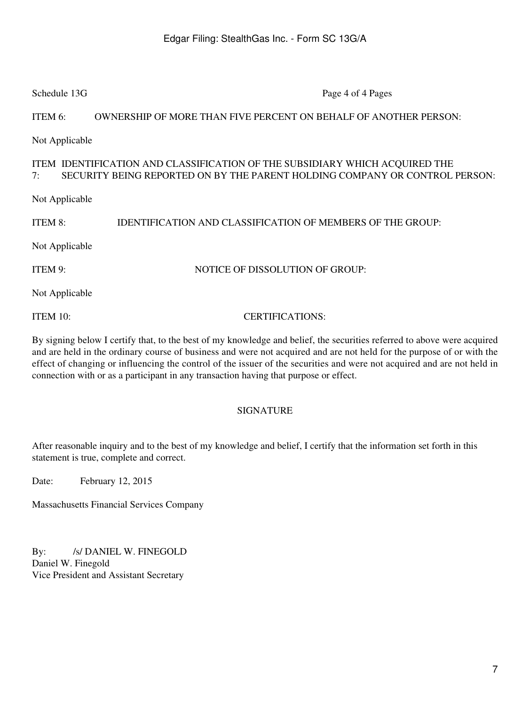| Schedule 13G                                                                                                                                                     | Page 4 of 4 Pages                                                 |  |  |  |  |
|------------------------------------------------------------------------------------------------------------------------------------------------------------------|-------------------------------------------------------------------|--|--|--|--|
| ITEM 6:                                                                                                                                                          | OWNERSHIP OF MORE THAN FIVE PERCENT ON BEHALF OF ANOTHER PERSON:  |  |  |  |  |
| Not Applicable                                                                                                                                                   |                                                                   |  |  |  |  |
| ITEM IDENTIFICATION AND CLASSIFICATION OF THE SUBSIDIARY WHICH ACQUIRED THE<br>SECURITY BEING REPORTED ON BY THE PARENT HOLDING COMPANY OR CONTROL PERSON:<br>7: |                                                                   |  |  |  |  |
| Not Applicable                                                                                                                                                   |                                                                   |  |  |  |  |
| ITEM 8:                                                                                                                                                          | <b>IDENTIFICATION AND CLASSIFICATION OF MEMBERS OF THE GROUP:</b> |  |  |  |  |
| Not Applicable                                                                                                                                                   |                                                                   |  |  |  |  |
| ITEM 9:                                                                                                                                                          | NOTICE OF DISSOLUTION OF GROUP:                                   |  |  |  |  |
| Not Applicable                                                                                                                                                   |                                                                   |  |  |  |  |
| ITEM $10$ :                                                                                                                                                      | <b>CERTIFICATIONS:</b>                                            |  |  |  |  |

By signing below I certify that, to the best of my knowledge and belief, the securities referred to above were acquired and are held in the ordinary course of business and were not acquired and are not held for the purpose of or with the effect of changing or influencing the control of the issuer of the securities and were not acquired and are not held in connection with or as a participant in any transaction having that purpose or effect.

## SIGNATURE

After reasonable inquiry and to the best of my knowledge and belief, I certify that the information set forth in this statement is true, complete and correct.

Date: February 12, 2015

Massachusetts Financial Services Company

By: /s/ DANIEL W. FINEGOLD Daniel W. Finegold Vice President and Assistant Secretary